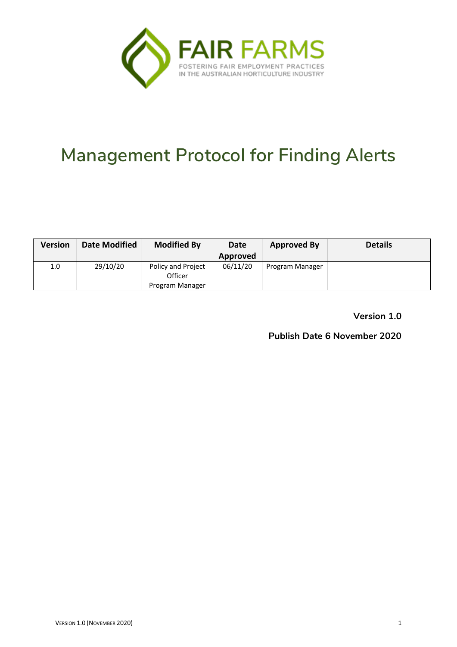

# **Management Protocol for Finding Alerts**

| <b>Version</b> | <b>Date Modified</b> | <b>Modified By</b>                   | Date     | <b>Approved By</b> | <b>Details</b> |
|----------------|----------------------|--------------------------------------|----------|--------------------|----------------|
|                |                      |                                      | Approved |                    |                |
| 1.0            | 29/10/20             | <b>Policy and Project</b><br>Officer | 06/11/20 | Program Manager    |                |
|                |                      | Program Manager                      |          |                    |                |

**Version 1.0**

**Publish Date 6 November 2020**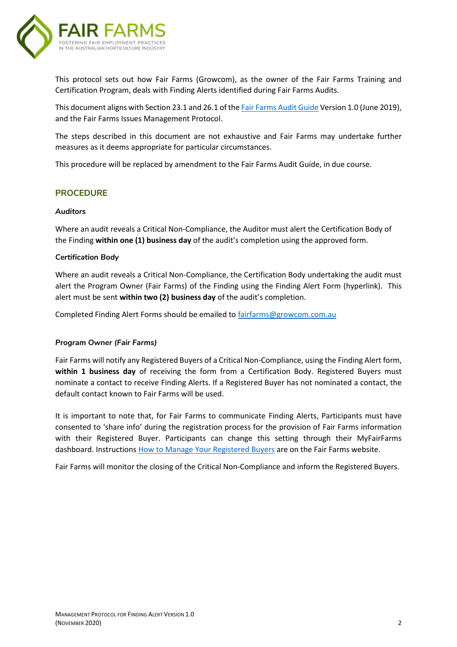

This protocol sets out how Fair Farms (Growcom), as the owner of the Fair Farms Training and Certification Program, deals with Finding Alerts identified during Fair Farms Audits.

This document aligns with Section 23.1 and 26.1 of the **Fair Farms Audit Guide Version 1.0 (June 2019)**, and the Fair Farms Issues Management Protocol.

The steps described in this document are not exhaustive and Fair Farms may undertake further measures as it deems appropriate for particular circumstances.

This procedure will be replaced by amendment to the Fair Farms Audit Guide, in due course.

#### **PROCEDURE**

#### *Auditors*

Where an audit reveals a Critical Non-Compliance, the Auditor must alert the Certification Body of the Finding **within one (1) business day** of the audit's completion using the approved form.

#### *Certification Body*

Where an audit reveals a Critical Non-Compliance, the Certification Body undertaking the audit must alert the Program Owner (Fair Farms) of the Finding using the Finding Alert Form (hyperlink). This alert must be sent **within two (2) business day** of the audit's completion.

Completed Finding Alert Forms should be emailed to [fairfarms@growcom.com.au](mailto:fairfarms@growcom.com.au)

#### *Program Owner (Fair Farms)*

Fair Farms will notify any Registered Buyers of a Critical Non-Compliance, using the Finding Alert form, **within 1 business day** of receiving the form from a Certification Body. Registered Buyers must nominate a contact to receive Finding Alerts. If a Registered Buyer has not nominated a contact, the default contact known to Fair Farms will be used.

It is important to note that, for Fair Farms to communicate Finding Alerts, Participants must have consented to 'share info' during the registration process for the provision of Fair Farms information with their Registered Buyer. Participants can change this setting through their MyFairFarms dashboard. Instructions [How to Manage Your Registered Buyers](https://www.fairfarms.com.au/wp-content/uploads/2019/10/How-To_Manage-Your-Registered-Buyers-Suppliers.pdf) are on the Fair Farms website.

Fair Farms will monitor the closing of the Critical Non-Compliance and inform the Registered Buyers.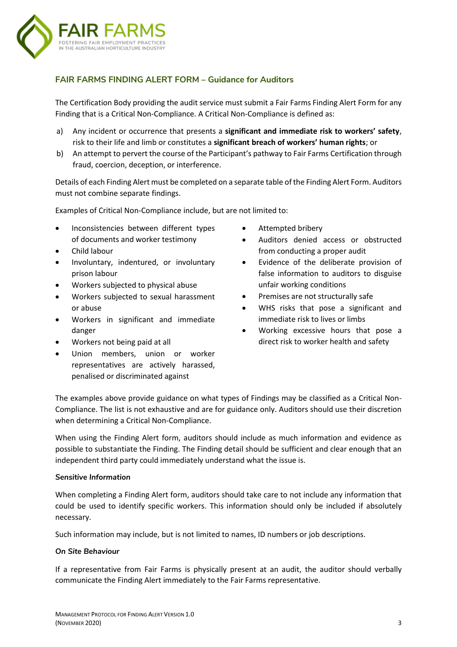

#### **FAIR FARMS FINDING ALERT FORM – Guidance for Auditors**

The Certification Body providing the audit service must submit a Fair Farms Finding Alert Form for any Finding that is a Critical Non-Compliance. A Critical Non-Compliance is defined as:

- a) Any incident or occurrence that presents a **significant and immediate risk to workers' safety**, risk to their life and limb or constitutes a **significant breach of workers' human rights**; or
- b) An attempt to pervert the course of the Participant's pathway to Fair Farms Certification through fraud, coercion, deception, or interference.

Details of each Finding Alert must be completed on a separate table ofthe Finding Alert Form. Auditors must not combine separate findings.

Examples of Critical Non-Compliance include, but are not limited to:

- Inconsistencies between different types of documents and worker testimony
- Child labour
- Involuntary, indentured, or involuntary prison labour
- Workers subjected to physical abuse
- Workers subjected to sexual harassment or abuse
- Workers in significant and immediate danger
- Workers not being paid at all
- Union members, union or worker representatives are actively harassed, penalised or discriminated against
- Attempted bribery
- Auditors denied access or obstructed from conducting a proper audit
- Evidence of the deliberate provision of false information to auditors to disguise unfair working conditions
- Premises are not structurally safe
- WHS risks that pose a significant and immediate risk to lives or limbs
- Working excessive hours that pose a direct risk to worker health and safety

The examples above provide guidance on what types of Findings may be classified as a Critical Non-Compliance. The list is not exhaustive and are for guidance only. Auditors should use their discretion when determining a Critical Non-Compliance.

When using the Finding Alert form, auditors should include as much information and evidence as possible to substantiate the Finding. The Finding detail should be sufficient and clear enough that an independent third party could immediately understand what the issue is.

#### *Sensitive Information*

When completing a Finding Alert form, auditors should take care to not include any information that could be used to identify specific workers. This information should only be included if absolutely necessary.

Such information may include, but is not limited to names, ID numbers or job descriptions.

#### *On Site Behaviour*

If a representative from Fair Farms is physically present at an audit, the auditor should verbally communicate the Finding Alert immediately to the Fair Farms representative.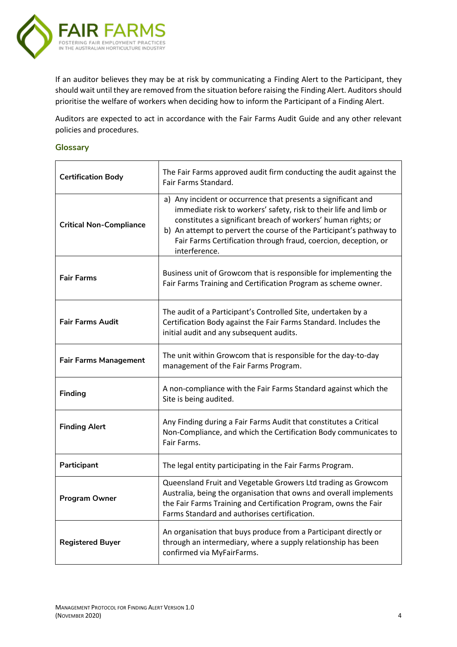

If an auditor believes they may be at risk by communicating a Finding Alert to the Participant, they should wait until they are removed from the situation before raising the Finding Alert. Auditors should prioritise the welfare of workers when deciding how to inform the Participant of a Finding Alert.

Auditors are expected to act in accordance with the Fair Farms Audit Guide and any other relevant policies and procedures.

#### **Glossary**

| <b>Certification Body</b>      | The Fair Farms approved audit firm conducting the audit against the<br>Fair Farms Standard.                                                                                                                                                                                                                                                                    |  |  |
|--------------------------------|----------------------------------------------------------------------------------------------------------------------------------------------------------------------------------------------------------------------------------------------------------------------------------------------------------------------------------------------------------------|--|--|
| <b>Critical Non-Compliance</b> | a) Any incident or occurrence that presents a significant and<br>immediate risk to workers' safety, risk to their life and limb or<br>constitutes a significant breach of workers' human rights; or<br>b) An attempt to pervert the course of the Participant's pathway to<br>Fair Farms Certification through fraud, coercion, deception, or<br>interference. |  |  |
| <b>Fair Farms</b>              | Business unit of Growcom that is responsible for implementing the<br>Fair Farms Training and Certification Program as scheme owner.                                                                                                                                                                                                                            |  |  |
| <b>Fair Farms Audit</b>        | The audit of a Participant's Controlled Site, undertaken by a<br>Certification Body against the Fair Farms Standard. Includes the<br>initial audit and any subsequent audits.                                                                                                                                                                                  |  |  |
| <b>Fair Farms Management</b>   | The unit within Growcom that is responsible for the day-to-day<br>management of the Fair Farms Program.                                                                                                                                                                                                                                                        |  |  |
| <b>Finding</b>                 | A non-compliance with the Fair Farms Standard against which the<br>Site is being audited.                                                                                                                                                                                                                                                                      |  |  |
| <b>Finding Alert</b>           | Any Finding during a Fair Farms Audit that constitutes a Critical<br>Non-Compliance, and which the Certification Body communicates to<br>Fair Farms.                                                                                                                                                                                                           |  |  |
| Participant                    | The legal entity participating in the Fair Farms Program.                                                                                                                                                                                                                                                                                                      |  |  |
| <b>Program Owner</b>           | Queensland Fruit and Vegetable Growers Ltd trading as Growcom<br>Australia, being the organisation that owns and overall implements<br>the Fair Farms Training and Certification Program, owns the Fair<br>Farms Standard and authorises certification.                                                                                                        |  |  |
| <b>Registered Buyer</b>        | An organisation that buys produce from a Participant directly or<br>through an intermediary, where a supply relationship has been<br>confirmed via MyFairFarms.                                                                                                                                                                                                |  |  |